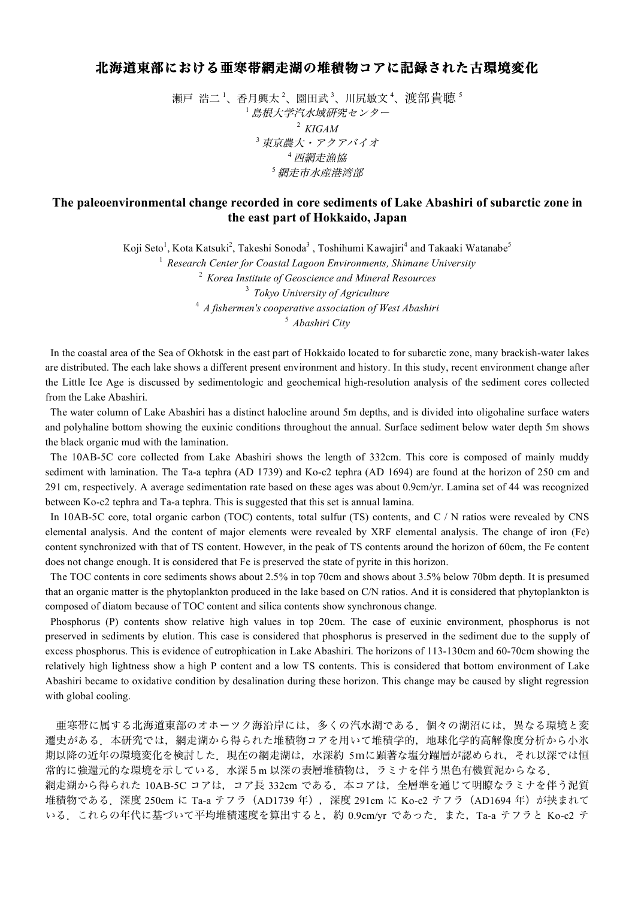## 北海道東部における亜寒帯網走湖の堆積物コアに記録された古環境変化

瀬戸 浩二 '、香月興太 <sup>2</sup>、園田武 <sup>3</sup>、川尻敏文 <del>'</del>、渡部 貴聴 <sup>s</sup> <sup>1</sup> 島根大学汽水域研究センター <sup>2</sup> *KIGAM* <sup>3</sup> 東京農大・アクアバイオ <sup>4</sup> 西網走漁協 <sup>5</sup> 網走市水産港湾部

## **The paleoenvironmental change recorded in core sediments of Lake Abashiri of subarctic zone in the east part of Hokkaido, Japan**

Koji Seto<sup>1</sup>, Kota Katsuki<sup>2</sup>, Takeshi Sonoda<sup>3</sup> , Toshihumi Kawajiri<sup>4</sup> and Takaaki Watanabe<sup>5</sup>

 *Research Center for Coastal Lagoon Environments, Shimane University Korea Institute of Geoscience and Mineral Resources Tokyo University of Agriculture A fishermen's cooperative association of West Abashiri Abashiri City*

In the coastal area of the Sea of Okhotsk in the east part of Hokkaido located to for subarctic zone, many brackish-water lakes are distributed. The each lake shows a different present environment and history. In this study, recent environment change after the Little Ice Age is discussed by sedimentologic and geochemical high-resolution analysis of the sediment cores collected from the Lake Abashiri.

 The water column of Lake Abashiri has a distinct halocline around 5m depths, and is divided into oligohaline surface waters and polyhaline bottom showing the euxinic conditions throughout the annual. Surface sediment below water depth 5m shows the black organic mud with the lamination.

 The 10AB-5C core collected from Lake Abashiri shows the length of 332cm. This core is composed of mainly muddy sediment with lamination. The Ta-a tephra (AD 1739) and Ko-c2 tephra (AD 1694) are found at the horizon of 250 cm and 291 cm, respectively. A average sedimentation rate based on these ages was about 0.9cm/yr. Lamina set of 44 was recognized between Ko-c2 tephra and Ta-a tephra. This is suggested that this set is annual lamina.

In 10AB-5C core, total organic carbon (TOC) contents, total sulfur (TS) contents, and C / N ratios were revealed by CNS elemental analysis. And the content of major elements were revealed by XRF elemental analysis. The change of iron (Fe) content synchronized with that of TS content. However, in the peak of TS contents around the horizon of 60cm, the Fe content does not change enough. It is considered that Fe is preserved the state of pyrite in this horizon.

 The TOC contents in core sediments shows about 2.5% in top 70cm and shows about 3.5% below 70bm depth. It is presumed that an organic matter is the phytoplankton produced in the lake based on C/N ratios. And it is considered that phytoplankton is composed of diatom because of TOC content and silica contents show synchronous change.

 Phosphorus (P) contents show relative high values in top 20cm. The case of euxinic environment, phosphorus is not preserved in sediments by elution. This case is considered that phosphorus is preserved in the sediment due to the supply of excess phosphorus. This is evidence of eutrophication in Lake Abashiri. The horizons of 113-130cm and 60-70cm showing the relatively high lightness show a high P content and a low TS contents. This is considered that bottom environment of Lake Abashiri became to oxidative condition by desalination during these horizon. This change may be caused by slight regression with global cooling.

亜寒帯に属する北海道東部のオホーツク海沿岸には,多くの汽水湖である.個々の湖沼には,異なる環境と変 遷史がある.本研究では,網走湖から得られた堆積物コアを用いて堆積学的,地球化学的高解像度分析から小氷 期以降の近年の環境変化を検討した.現在の網走湖は,水深約 5mに顕著な塩分躍層が認められ,それ以深では恒 常的に強還元的な環境を示している.水深5m 以深の表層堆積物は,ラミナを伴う黒色有機質泥からなる.

網走湖から得られた 10AB-5C コアは, コア長 332cm である. 本コアは, 全層準を通じて明瞭なラミナを伴う泥質 堆積物である. 深度 250cm に Ta-a テフラ (AD1739 年), 深度 291cm に Ko-c2 テフラ (AD1694 年) が挟まれて いる.これらの年代に基づいて平均堆積速度を算出すると,約 0.9cm/yr であった.また,Ta-a テフラと Ko-c2 テ